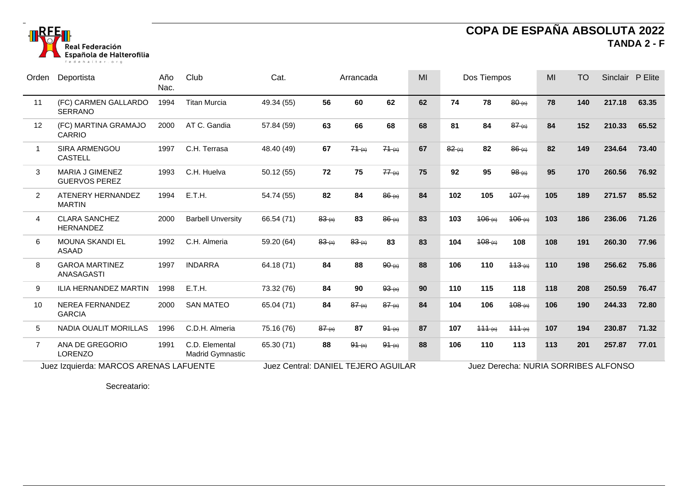

## **COPA DE ESPAÑA ABSOLUTA 2022 TANDA 2 - F**

| Orden                                  | Deportista                               | Año<br>Nac. | Club                                      | Cat.                                |       | Arrancada |            | MI | Dos Tiempos                          |        | MI         | <b>TO</b> | Sinclair P Elite |        |       |
|----------------------------------------|------------------------------------------|-------------|-------------------------------------------|-------------------------------------|-------|-----------|------------|----|--------------------------------------|--------|------------|-----------|------------------|--------|-------|
| 11                                     | (FC) CARMEN GALLARDO<br><b>SERRANO</b>   | 1994        | <b>Titan Murcia</b>                       | 49.34 (55)                          | 56    | 60        | 62         | 62 | 74                                   | 78     | $80-(n)$   | 78        | 140              | 217.18 | 63.35 |
| 12                                     | (FC) MARTINA GRAMAJO<br><b>CARRIO</b>    | 2000        | AT C. Gandia                              | 57.84 (59)                          | 63    | 66        | 68         | 68 | 81                                   | 84     | $87^{(n)}$ | 84        | 152              | 210.33 | 65.52 |
| 1                                      | <b>SIRA ARMENGOU</b><br><b>CASTELL</b>   | 1997        | C.H. Terrasa                              | 48.40 (49)                          | 67    | 74(m)     | 74(m)      | 67 | 82(n)                                | 82     | $86 - (n)$ | 82        | 149              | 234.64 | 73.40 |
| 3                                      | MARIA J GIMENEZ<br><b>GUERVOS PEREZ</b>  | 1993        | C.H. Huelva                               | 50.12 (55)                          | 72    | 75        | 77(n)      | 75 | 92                                   | 95     | $98-(n)$   | 95        | 170              | 260.56 | 76.92 |
| $\mathbf{2}$                           | ATENERY HERNANDEZ<br><b>MARTIN</b>       | 1994        | E.T.H.                                    | 54.74 (55)                          | 82    | 84        | $86 - (n)$ | 84 | 102                                  | 105    | 107(n)     | 105       | 189              | 271.57 | 85.52 |
| $\overline{4}$                         | <b>CLARA SANCHEZ</b><br><b>HERNANDEZ</b> | 2000        | <b>Barbell Unversity</b>                  | 66.54 (71)                          | 83(n) | 83        | $86 - (n)$ | 83 | 103                                  | 106(m) | 106(n)     | 103       | 186              | 236.06 | 71.26 |
| 6                                      | <b>MOUNA SKANDI EL</b><br><b>ASAAD</b>   | 1992        | C.H. Almeria                              | 59.20 (64)                          | 83(n) | 83(n)     | 83         | 83 | 104                                  | 408(m) | 108        | 108       | 191              | 260.30 | 77.96 |
| 8                                      | <b>GAROA MARTINEZ</b><br>ANASAGASTI      | 1997        | <b>INDARRA</b>                            | 64.18 (71)                          | 84    | 88        | $90-(n)$   | 88 | 106                                  | 110    | 113(n)     | 110       | 198              | 256.62 | 75.86 |
| 9                                      | ILIA HERNANDEZ MARTIN                    | 1998        | E.T.H.                                    | 73.32 (76)                          | 84    | 90        | 93(n)      | 90 | 110                                  | 115    | 118        | 118       | 208              | 250.59 | 76.47 |
| 10                                     | NEREA FERNANDEZ<br><b>GARCIA</b>         | 2000        | <b>SAN MATEO</b>                          | 65.04 (71)                          | 84    | 87(n)     | 87(m)      | 84 | 104                                  | 106    | 108(n)     | 106       | 190              | 244.33 | 72.80 |
| 5                                      | NADIA OUALIT MORILLAS                    | 1996        | C.D.H. Almeria                            | 75.16 (76)                          | 87(n) | 87        | $94 - (n)$ | 87 | 107                                  | 444(n) | 111(n)     | 107       | 194              | 230.87 | 71.32 |
| $\overline{7}$                         | ANA DE GREGORIO<br><b>LORENZO</b>        | 1991        | C.D. Elemental<br><b>Madrid Gymnastic</b> | 65.30 (71)                          | 88    | 91(n)     | 91(m)      | 88 | 106                                  | 110    | 113        | 113       | 201              | 257.87 | 77.01 |
| Juez Izquierda: MARCOS ARENAS LAFUENTE |                                          |             |                                           | Juez Central: DANIEL TEJERO AGUILAR |       |           |            |    | Juez Derecha: NURIA SORRIBES ALFONSO |        |            |           |                  |        |       |

Secreatario: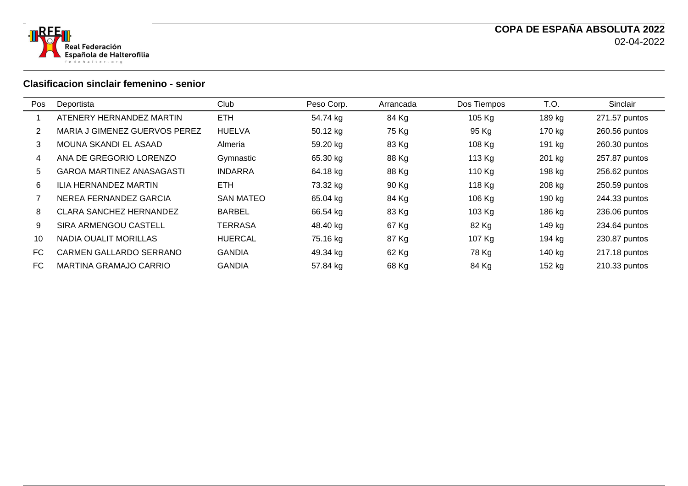



## **Clasificacion sinclair femenino - senior**

| Pos | Deportista                       | Club             | Peso Corp. | Arrancada | Dos Tiempos | T.O.   | Sinclair      |
|-----|----------------------------------|------------------|------------|-----------|-------------|--------|---------------|
|     | ATENERY HERNANDEZ MARTIN         | <b>ETH</b>       | 54.74 kg   | 84 Kg     | 105 Kg      | 189 kg | 271.57 puntos |
|     | MARIA J GIMENEZ GUERVOS PEREZ    | <b>HUELVA</b>    | 50.12 kg   | 75 Kg     | 95 Kg       | 170 kg | 260.56 puntos |
| 3   | MOUNA SKANDI EL ASAAD            | Almeria          | 59.20 kg   | 83 Kg     | 108 Kg      | 191 kg | 260.30 puntos |
| 4   | ANA DE GREGORIO LORENZO          | Gymnastic        | 65.30 kg   | 88 Kg     | 113 Kg      | 201 kg | 257.87 puntos |
| 5   | <b>GAROA MARTINEZ ANASAGASTI</b> | <b>INDARRA</b>   | 64.18 kg   | 88 Kg     | 110 Kg      | 198 kg | 256.62 puntos |
| 6   | <b>ILIA HERNANDEZ MARTIN</b>     | <b>ETH</b>       | 73.32 kg   | 90 Kg     | 118 Kg      | 208 kg | 250.59 puntos |
|     | NEREA FERNANDEZ GARCIA           | <b>SAN MATEO</b> | 65.04 kg   | 84 Kg     | 106 Kg      | 190 kg | 244.33 puntos |
| 8   | <b>CLARA SANCHEZ HERNANDEZ</b>   | <b>BARBEL</b>    | 66.54 kg   | 83 Kg     | 103 Kg      | 186 kg | 236.06 puntos |
| 9   | SIRA ARMENGOU CASTELL            | <b>TERRASA</b>   | 48.40 kg   | 67 Kg     | 82 Kg       | 149 kg | 234.64 puntos |
| 10  | NADIA OUALIT MORILLAS            | <b>HUERCAL</b>   | 75.16 kg   | 87 Kg     | 107 Kg      | 194 kg | 230.87 puntos |
| FC. | CARMEN GALLARDO SERRANO          | <b>GANDIA</b>    | 49.34 kg   | 62 Kg     | 78 Kg       | 140 kg | 217.18 puntos |
| FC. | MARTINA GRAMAJO CARRIO           | <b>GANDIA</b>    | 57.84 kg   | 68 Kg     | 84 Kg       | 152 kg | 210.33 puntos |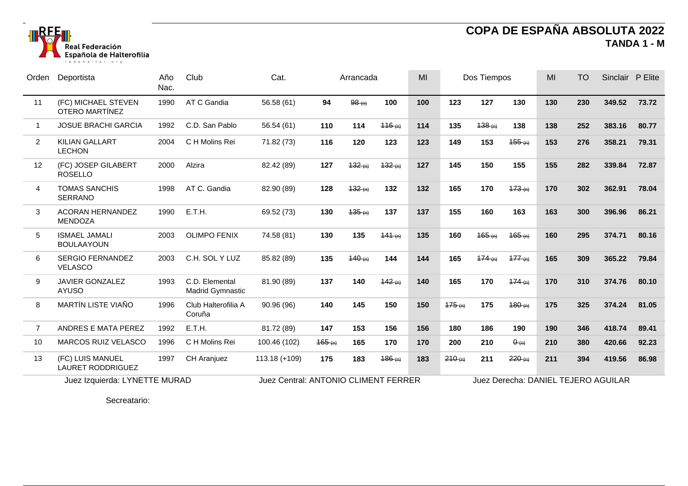

## **COPA DE ESPAÑA ABSOLUTA 2022 TANDA 1 - M**

| Orden          | Deportista                                   | Año<br>Nac. | Club                                      | Cat.          | Arrancada                            |        | MI          | Dos Tiempos |        | MI                                  | <b>TO</b>    | Sinclair P Elite |     |        |       |
|----------------|----------------------------------------------|-------------|-------------------------------------------|---------------|--------------------------------------|--------|-------------|-------------|--------|-------------------------------------|--------------|------------------|-----|--------|-------|
| 11             | (FC) MICHAEL STEVEN<br><b>OTERO MARTÍNEZ</b> | 1990        | AT C Gandia                               | 56.58 (61)    | 94                                   | 98(n)  | 100         | 100         | 123    | 127                                 | 130          | 130              | 230 | 349.52 | 73.72 |
| -1             | <b>JOSUE BRACHI GARCIA</b>                   | 1992        | C.D. San Pablo                            | 56.54 (61)    | 110                                  | 114    | 116(n)      | 114         | 135    | 138(n)                              | 138          | 138              | 252 | 383.16 | 80.77 |
| 2              | <b>KILIAN GALLART</b><br><b>LECHON</b>       | 2004        | C H Molins Rei                            | 71.82 (73)    | 116                                  | 120    | 123         | 123         | 149    | 153                                 | 455(n)       | 153              | 276 | 358.21 | 79.31 |
| 12             | (FC) JOSEP GILABERT<br><b>ROSELLO</b>        | 2000        | Alzira                                    | 82.42 (89)    | 127                                  | 132(m) | 132(n)      | 127         | 145    | 150                                 | 155          | 155              | 282 | 339.84 | 72.87 |
| $\overline{4}$ | <b>TOMAS SANCHIS</b><br><b>SERRANO</b>       | 1998        | AT C. Gandia                              | 82.90 (89)    | 128                                  | 132(m) | 132         | 132         | 165    | 170                                 | 473(n)       | 170              | 302 | 362.91 | 78.04 |
| 3              | <b>ACORAN HERNANDEZ</b><br><b>MENDOZA</b>    | 1990        | E.T.H.                                    | 69.52 (73)    | 130                                  | 135(m) | 137         | 137         | 155    | 160                                 | 163          | 163              | 300 | 396.96 | 86.21 |
| 5              | <b>ISMAEL JAMALI</b><br><b>BOULAAYOUN</b>    | 2003        | <b>OLIMPO FENIX</b>                       | 74.58 (81)    | 130                                  | 135    | 141(n)      | 135         | 160    | 165(n)                              | 165(n)       | 160              | 295 | 374.71 | 80.16 |
| 6              | <b>SERGIO FERNANDEZ</b><br><b>VELASCO</b>    | 2003        | C.H. SOL Y LUZ                            | 85.82 (89)    | 135                                  | 140(n) | 144         | 144         | 165    | 174(n)                              | 177(n)       | 165              | 309 | 365.22 | 79.84 |
| 9              | <b>JAVIER GONZALEZ</b><br><b>AYUSO</b>       | 1993        | C.D. Elemental<br><b>Madrid Gymnastic</b> | 81.90 (89)    | 137                                  | 140    | 142(n)      | 140         | 165    | 170                                 | 174(n)       | 170              | 310 | 374.76 | 80.10 |
| 8              | <b>MARTÍN LISTE VIAÑO</b>                    | 1996        | Club Halterofilia A<br>Coruña             | 90.96 (96)    | 140                                  | 145    | 150         | 150         | 175(n) | 175                                 | 180(n)       | 175              | 325 | 374.24 | 81.05 |
| $\overline{7}$ | ANDRES E MATA PEREZ                          | 1992        | E.T.H.                                    | 81.72 (89)    | 147                                  | 153    | 156         | 156         | 180    | 186                                 | 190          | 190              | 346 | 418.74 | 89.41 |
| 10             | <b>MARCOS RUIZ VELASCO</b>                   | 1996        | C H Molins Rei                            | 100.46 (102)  | 165(n)                               | 165    | 170         | 170         | 200    | 210                                 | $\theta$ (n) | 210              | 380 | 420.66 | 92.23 |
| 13             | (FC) LUIS MANUEL<br>LAURET RODDRIGUEZ        | 1997        | CH Aranjuez                               | 113.18 (+109) | 175                                  | 183    | $186 - (n)$ | 183         | 210(n) | 211                                 | 220(n)       | 211              | 394 | 419.56 | 86.98 |
|                | Juez Izquierda: LYNETTE MURAD                |             |                                           |               | Juez Central: ANTONIO CLIMENT FERRER |        |             |             |        | Juez Derecha: DANIEL TEJERO AGUILAR |              |                  |     |        |       |

Secreatario: